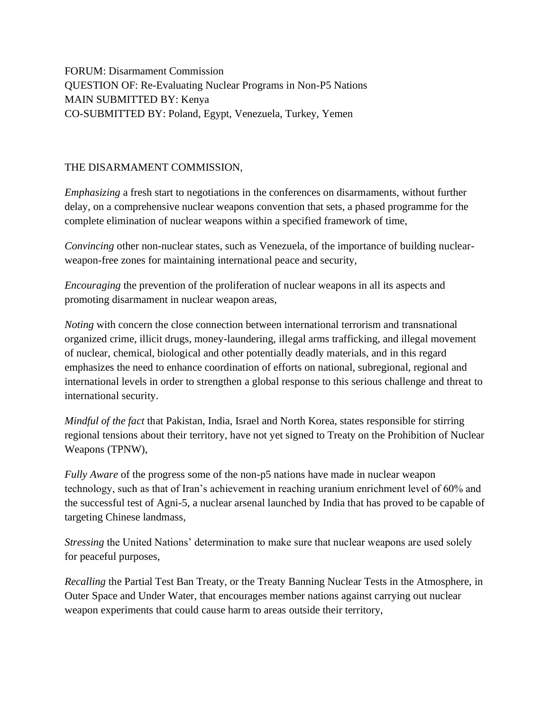FORUM: Disarmament Commission QUESTION OF: Re-Evaluating Nuclear Programs in Non-P5 Nations MAIN SUBMITTED BY: Kenya CO-SUBMITTED BY: Poland, Egypt, Venezuela, Turkey, Yemen

## THE DISARMAMENT COMMISSION,

*Emphasizing* a fresh start to negotiations in the conferences on disarmaments, without further delay, on a comprehensive nuclear weapons convention that sets, a phased programme for the complete elimination of nuclear weapons within a specified framework of time,

*Convincing* other non-nuclear states, such as Venezuela, of the importance of building nuclearweapon-free zones for maintaining international peace and security,

*Encouraging* the prevention of the proliferation of nuclear weapons in all its aspects and promoting disarmament in nuclear weapon areas,

*Noting* with concern the close connection between international terrorism and transnational organized crime, illicit drugs, money-laundering, illegal arms trafficking, and illegal movement of nuclear, chemical, biological and other potentially deadly materials, and in this regard emphasizes the need to enhance coordination of efforts on national, subregional, regional and international levels in order to strengthen a global response to this serious challenge and threat to international security.

*Mindful of the fact* that Pakistan, India, Israel and North Korea, states responsible for stirring regional tensions about their territory, have not yet signed to Treaty on the Prohibition of Nuclear Weapons (TPNW),

*Fully Aware* of the progress some of the non-p5 nations have made in nuclear weapon technology, such as that of Iran's achievement in reaching uranium enrichment level of 60% and the successful test of Agni-5, a nuclear arsenal launched by India that has proved to be capable of targeting Chinese landmass,

*Stressing* the United Nations' determination to make sure that nuclear weapons are used solely for peaceful purposes,

*Recalling* the Partial Test Ban Treaty, or the Treaty Banning Nuclear Tests in the Atmosphere, in Outer Space and Under Water, that encourages member nations against carrying out nuclear weapon experiments that could cause harm to areas outside their territory,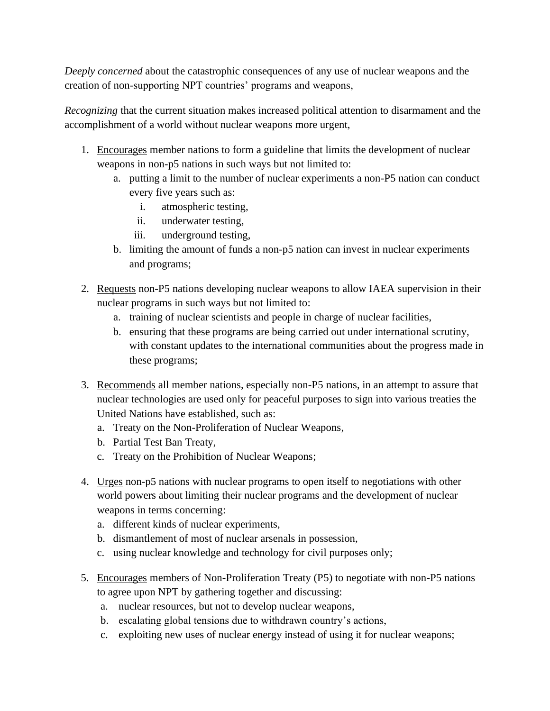*Deeply concerned* about the catastrophic consequences of any use of nuclear weapons and the creation of non-supporting NPT countries' programs and weapons,

*Recognizing* that the current situation makes increased political attention to disarmament and the accomplishment of a world without nuclear weapons more urgent,

- 1. Encourages member nations to form a guideline that limits the development of nuclear weapons in non-p5 nations in such ways but not limited to:
	- a. putting a limit to the number of nuclear experiments a non-P5 nation can conduct every five years such as:
		- i. atmospheric testing,
		- ii. underwater testing,
		- iii. underground testing,
	- b. limiting the amount of funds a non-p5 nation can invest in nuclear experiments and programs;
- 2. Requests non-P5 nations developing nuclear weapons to allow IAEA supervision in their nuclear programs in such ways but not limited to:
	- a. training of nuclear scientists and people in charge of nuclear facilities,
	- b. ensuring that these programs are being carried out under international scrutiny, with constant updates to the international communities about the progress made in these programs;
- 3. Recommends all member nations, especially non-P5 nations, in an attempt to assure that nuclear technologies are used only for peaceful purposes to sign into various treaties the United Nations have established, such as:
	- a. Treaty on the Non-Proliferation of Nuclear Weapons,
	- b. Partial Test Ban Treaty,
	- c. Treaty on the Prohibition of Nuclear Weapons;
- 4. Urges non-p5 nations with nuclear programs to open itself to negotiations with other world powers about limiting their nuclear programs and the development of nuclear weapons in terms concerning:
	- a. different kinds of nuclear experiments,
	- b. dismantlement of most of nuclear arsenals in possession,
	- c. using nuclear knowledge and technology for civil purposes only;
- 5. Encourages members of Non-Proliferation Treaty (P5) to negotiate with non-P5 nations to agree upon NPT by gathering together and discussing:
	- a. nuclear resources, but not to develop nuclear weapons,
	- b. escalating global tensions due to withdrawn country's actions,
	- c. exploiting new uses of nuclear energy instead of using it for nuclear weapons;